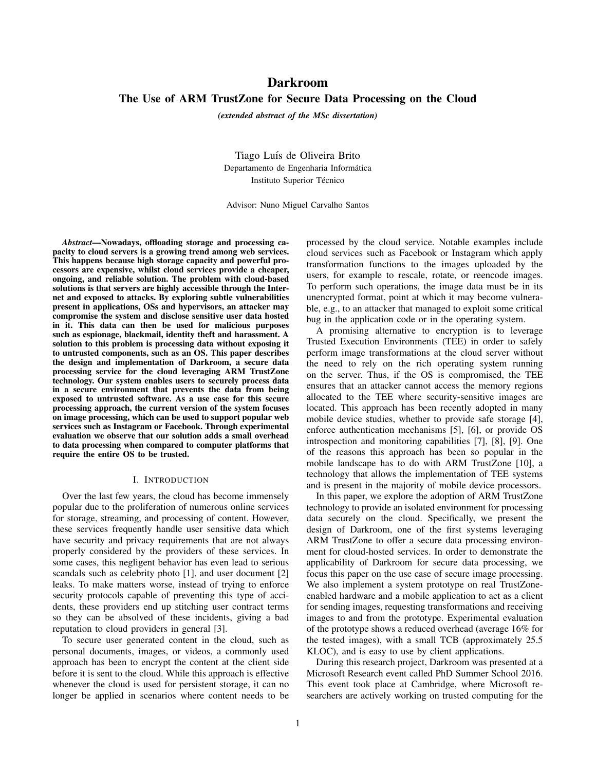# Darkroom The Use of ARM TrustZone for Secure Data Processing on the Cloud

*(extended abstract of the MSc dissertation)*

Tiago Luís de Oliveira Brito Departamento de Engenharia Informática Instituto Superior Técnico

Advisor: Nuno Miguel Carvalho Santos

*Abstract*—Nowadays, offloading storage and processing capacity to cloud servers is a growing trend among web services. This happens because high storage capacity and powerful processors are expensive, whilst cloud services provide a cheaper, ongoing, and reliable solution. The problem with cloud-based solutions is that servers are highly accessible through the Internet and exposed to attacks. By exploring subtle vulnerabilities present in applications, OSs and hypervisors, an attacker may compromise the system and disclose sensitive user data hosted in it. This data can then be used for malicious purposes such as espionage, blackmail, identity theft and harassment. A solution to this problem is processing data without exposing it to untrusted components, such as an OS. This paper describes the design and implementation of Darkroom, a secure data processing service for the cloud leveraging ARM TrustZone technology. Our system enables users to securely process data in a secure environment that prevents the data from being exposed to untrusted software. As a use case for this secure processing approach, the current version of the system focuses on image processing, which can be used to support popular web services such as Instagram or Facebook. Through experimental evaluation we observe that our solution adds a small overhead to data processing when compared to computer platforms that require the entire OS to be trusted.

#### I. INTRODUCTION

Over the last few years, the cloud has become immensely popular due to the proliferation of numerous online services for storage, streaming, and processing of content. However, these services frequently handle user sensitive data which have security and privacy requirements that are not always properly considered by the providers of these services. In some cases, this negligent behavior has even lead to serious scandals such as celebrity photo [1], and user document [2] leaks. To make matters worse, instead of trying to enforce security protocols capable of preventing this type of accidents, these providers end up stitching user contract terms so they can be absolved of these incidents, giving a bad reputation to cloud providers in general [3].

To secure user generated content in the cloud, such as personal documents, images, or videos, a commonly used approach has been to encrypt the content at the client side before it is sent to the cloud. While this approach is effective whenever the cloud is used for persistent storage, it can no longer be applied in scenarios where content needs to be processed by the cloud service. Notable examples include cloud services such as Facebook or Instagram which apply transformation functions to the images uploaded by the users, for example to rescale, rotate, or reencode images. To perform such operations, the image data must be in its unencrypted format, point at which it may become vulnerable, e.g., to an attacker that managed to exploit some critical bug in the application code or in the operating system.

A promising alternative to encryption is to leverage Trusted Execution Environments (TEE) in order to safely perform image transformations at the cloud server without the need to rely on the rich operating system running on the server. Thus, if the OS is compromised, the TEE ensures that an attacker cannot access the memory regions allocated to the TEE where security-sensitive images are located. This approach has been recently adopted in many mobile device studies, whether to provide safe storage [4], enforce authentication mechanisms [5], [6], or provide OS introspection and monitoring capabilities [7], [8], [9]. One of the reasons this approach has been so popular in the mobile landscape has to do with ARM TrustZone [10], a technology that allows the implementation of TEE systems and is present in the majority of mobile device processors.

In this paper, we explore the adoption of ARM TrustZone technology to provide an isolated environment for processing data securely on the cloud. Specifically, we present the design of Darkroom, one of the first systems leveraging ARM TrustZone to offer a secure data processing environment for cloud-hosted services. In order to demonstrate the applicability of Darkroom for secure data processing, we focus this paper on the use case of secure image processing. We also implement a system prototype on real TrustZoneenabled hardware and a mobile application to act as a client for sending images, requesting transformations and receiving images to and from the prototype. Experimental evaluation of the prototype shows a reduced overhead (average 16% for the tested images), with a small TCB (approximately 25.5 KLOC), and is easy to use by client applications.

During this research project, Darkroom was presented at a Microsoft Research event called PhD Summer School 2016. This event took place at Cambridge, where Microsoft researchers are actively working on trusted computing for the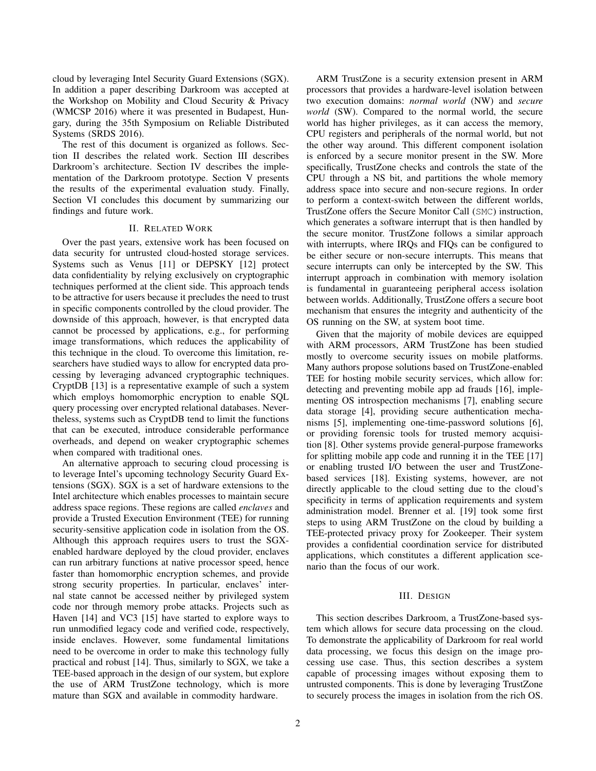cloud by leveraging Intel Security Guard Extensions (SGX). In addition a paper describing Darkroom was accepted at the Workshop on Mobility and Cloud Security & Privacy (WMCSP 2016) where it was presented in Budapest, Hungary, during the 35th Symposium on Reliable Distributed Systems (SRDS 2016).

The rest of this document is organized as follows. Section II describes the related work. Section III describes Darkroom's architecture. Section IV describes the implementation of the Darkroom prototype. Section V presents the results of the experimental evaluation study. Finally, Section VI concludes this document by summarizing our findings and future work.

#### II. RELATED WORK

Over the past years, extensive work has been focused on data security for untrusted cloud-hosted storage services. Systems such as Venus [11] or DEPSKY [12] protect data confidentiality by relying exclusively on cryptographic techniques performed at the client side. This approach tends to be attractive for users because it precludes the need to trust in specific components controlled by the cloud provider. The downside of this approach, however, is that encrypted data cannot be processed by applications, e.g., for performing image transformations, which reduces the applicability of this technique in the cloud. To overcome this limitation, researchers have studied ways to allow for encrypted data processing by leveraging advanced cryptographic techniques. CryptDB [13] is a representative example of such a system which employs homomorphic encryption to enable SQL query processing over encrypted relational databases. Nevertheless, systems such as CryptDB tend to limit the functions that can be executed, introduce considerable performance overheads, and depend on weaker cryptographic schemes when compared with traditional ones.

An alternative approach to securing cloud processing is to leverage Intel's upcoming technology Security Guard Extensions (SGX). SGX is a set of hardware extensions to the Intel architecture which enables processes to maintain secure address space regions. These regions are called *enclaves* and provide a Trusted Execution Environment (TEE) for running security-sensitive application code in isolation from the OS. Although this approach requires users to trust the SGXenabled hardware deployed by the cloud provider, enclaves can run arbitrary functions at native processor speed, hence faster than homomorphic encryption schemes, and provide strong security properties. In particular, enclaves' internal state cannot be accessed neither by privileged system code nor through memory probe attacks. Projects such as Haven [14] and VC3 [15] have started to explore ways to run unmodified legacy code and verified code, respectively, inside enclaves. However, some fundamental limitations need to be overcome in order to make this technology fully practical and robust [14]. Thus, similarly to SGX, we take a TEE-based approach in the design of our system, but explore the use of ARM TrustZone technology, which is more mature than SGX and available in commodity hardware.

ARM TrustZone is a security extension present in ARM processors that provides a hardware-level isolation between two execution domains: *normal world* (NW) and *secure world* (SW). Compared to the normal world, the secure world has higher privileges, as it can access the memory, CPU registers and peripherals of the normal world, but not the other way around. This different component isolation is enforced by a secure monitor present in the SW. More specifically, TrustZone checks and controls the state of the CPU through a NS bit, and partitions the whole memory address space into secure and non-secure regions. In order to perform a context-switch between the different worlds, TrustZone offers the Secure Monitor Call (SMC) instruction, which generates a software interrupt that is then handled by the secure monitor. TrustZone follows a similar approach with interrupts, where IRQs and FIQs can be configured to be either secure or non-secure interrupts. This means that secure interrupts can only be intercepted by the SW. This interrupt approach in combination with memory isolation is fundamental in guaranteeing peripheral access isolation between worlds. Additionally, TrustZone offers a secure boot mechanism that ensures the integrity and authenticity of the OS running on the SW, at system boot time.

Given that the majority of mobile devices are equipped with ARM processors, ARM TrustZone has been studied mostly to overcome security issues on mobile platforms. Many authors propose solutions based on TrustZone-enabled TEE for hosting mobile security services, which allow for: detecting and preventing mobile app ad frauds [16], implementing OS introspection mechanisms [7], enabling secure data storage [4], providing secure authentication mechanisms [5], implementing one-time-password solutions [6], or providing forensic tools for trusted memory acquisition [8]. Other systems provide general-purpose frameworks for splitting mobile app code and running it in the TEE [17] or enabling trusted I/O between the user and TrustZonebased services [18]. Existing systems, however, are not directly applicable to the cloud setting due to the cloud's specificity in terms of application requirements and system administration model. Brenner et al. [19] took some first steps to using ARM TrustZone on the cloud by building a TEE-protected privacy proxy for Zookeeper. Their system provides a confidential coordination service for distributed applications, which constitutes a different application scenario than the focus of our work.

#### III. DESIGN

This section describes Darkroom, a TrustZone-based system which allows for secure data processing on the cloud. To demonstrate the applicability of Darkroom for real world data processing, we focus this design on the image processing use case. Thus, this section describes a system capable of processing images without exposing them to untrusted components. This is done by leveraging TrustZone to securely process the images in isolation from the rich OS.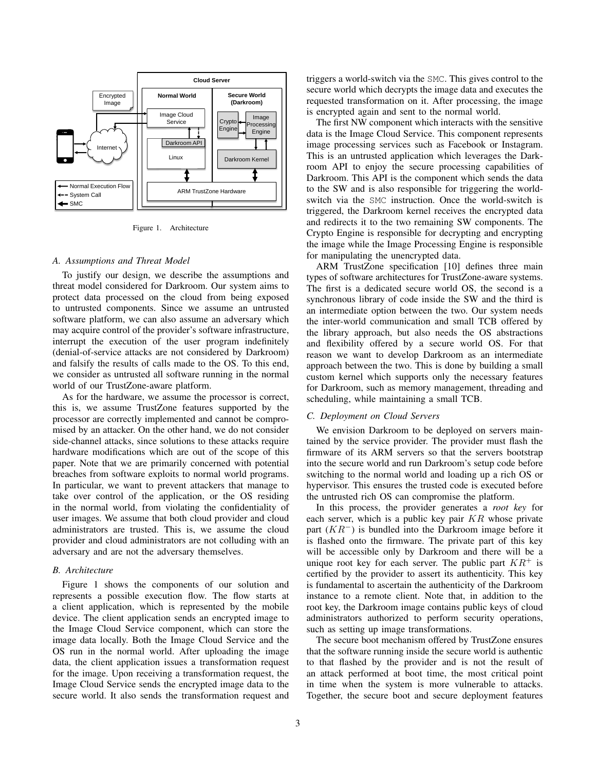

Figure 1. Architecture

#### *A. Assumptions and Threat Model*

To justify our design, we describe the assumptions and threat model considered for Darkroom. Our system aims to protect data processed on the cloud from being exposed to untrusted components. Since we assume an untrusted software platform, we can also assume an adversary which may acquire control of the provider's software infrastructure, interrupt the execution of the user program indefinitely (denial-of-service attacks are not considered by Darkroom) and falsify the results of calls made to the OS. To this end, we consider as untrusted all software running in the normal world of our TrustZone-aware platform.

As for the hardware, we assume the processor is correct, this is, we assume TrustZone features supported by the processor are correctly implemented and cannot be compromised by an attacker. On the other hand, we do not consider side-channel attacks, since solutions to these attacks require hardware modifications which are out of the scope of this paper. Note that we are primarily concerned with potential breaches from software exploits to normal world programs. In particular, we want to prevent attackers that manage to take over control of the application, or the OS residing in the normal world, from violating the confidentiality of user images. We assume that both cloud provider and cloud administrators are trusted. This is, we assume the cloud provider and cloud administrators are not colluding with an adversary and are not the adversary themselves.

#### *B. Architecture*

Figure 1 shows the components of our solution and represents a possible execution flow. The flow starts at a client application, which is represented by the mobile device. The client application sends an encrypted image to the Image Cloud Service component, which can store the image data locally. Both the Image Cloud Service and the OS run in the normal world. After uploading the image data, the client application issues a transformation request for the image. Upon receiving a transformation request, the Image Cloud Service sends the encrypted image data to the secure world. It also sends the transformation request and triggers a world-switch via the SMC. This gives control to the secure world which decrypts the image data and executes the requested transformation on it. After processing, the image is encrypted again and sent to the normal world.

The first NW component which interacts with the sensitive data is the Image Cloud Service. This component represents image processing services such as Facebook or Instagram. This is an untrusted application which leverages the Darkroom API to enjoy the secure processing capabilities of Darkroom. This API is the component which sends the data to the SW and is also responsible for triggering the worldswitch via the SMC instruction. Once the world-switch is triggered, the Darkroom kernel receives the encrypted data and redirects it to the two remaining SW components. The Crypto Engine is responsible for decrypting and encrypting the image while the Image Processing Engine is responsible for manipulating the unencrypted data.

ARM TrustZone specification [10] defines three main types of software architectures for TrustZone-aware systems. The first is a dedicated secure world OS, the second is a synchronous library of code inside the SW and the third is an intermediate option between the two. Our system needs the inter-world communication and small TCB offered by the library approach, but also needs the OS abstractions and flexibility offered by a secure world OS. For that reason we want to develop Darkroom as an intermediate approach between the two. This is done by building a small custom kernel which supports only the necessary features for Darkroom, such as memory management, threading and scheduling, while maintaining a small TCB.

# *C. Deployment on Cloud Servers*

We envision Darkroom to be deployed on servers maintained by the service provider. The provider must flash the firmware of its ARM servers so that the servers bootstrap into the secure world and run Darkroom's setup code before switching to the normal world and loading up a rich OS or hypervisor. This ensures the trusted code is executed before the untrusted rich OS can compromise the platform.

In this process, the provider generates a *root key* for each server, which is a public key pair  $KR$  whose private part  $(KR^{-})$  is bundled into the Darkroom image before it is flashed onto the firmware. The private part of this key will be accessible only by Darkroom and there will be a unique root key for each server. The public part  $KR^+$  is certified by the provider to assert its authenticity. This key is fundamental to ascertain the authenticity of the Darkroom instance to a remote client. Note that, in addition to the root key, the Darkroom image contains public keys of cloud administrators authorized to perform security operations, such as setting up image transformations.

The secure boot mechanism offered by TrustZone ensures that the software running inside the secure world is authentic to that flashed by the provider and is not the result of an attack performed at boot time, the most critical point in time when the system is more vulnerable to attacks. Together, the secure boot and secure deployment features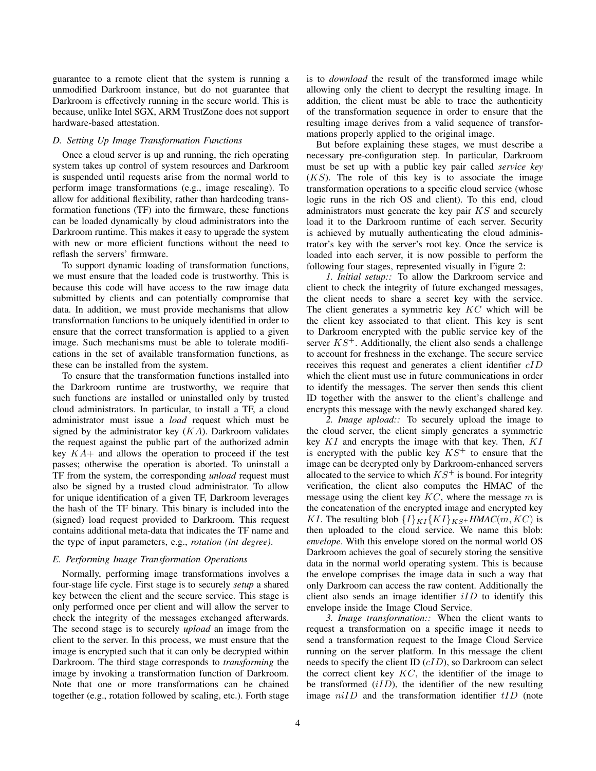guarantee to a remote client that the system is running a unmodified Darkroom instance, but do not guarantee that Darkroom is effectively running in the secure world. This is because, unlike Intel SGX, ARM TrustZone does not support hardware-based attestation.

#### *D. Setting Up Image Transformation Functions*

Once a cloud server is up and running, the rich operating system takes up control of system resources and Darkroom is suspended until requests arise from the normal world to perform image transformations (e.g., image rescaling). To allow for additional flexibility, rather than hardcoding transformation functions (TF) into the firmware, these functions can be loaded dynamically by cloud administrators into the Darkroom runtime. This makes it easy to upgrade the system with new or more efficient functions without the need to reflash the servers' firmware.

To support dynamic loading of transformation functions, we must ensure that the loaded code is trustworthy. This is because this code will have access to the raw image data submitted by clients and can potentially compromise that data. In addition, we must provide mechanisms that allow transformation functions to be uniquely identified in order to ensure that the correct transformation is applied to a given image. Such mechanisms must be able to tolerate modifications in the set of available transformation functions, as these can be installed from the system.

To ensure that the transformation functions installed into the Darkroom runtime are trustworthy, we require that such functions are installed or uninstalled only by trusted cloud administrators. In particular, to install a TF, a cloud administrator must issue a *load* request which must be signed by the administrator key  $(KA)$ . Darkroom validates the request against the public part of the authorized admin key  $KA+$  and allows the operation to proceed if the test passes; otherwise the operation is aborted. To uninstall a TF from the system, the corresponding *unload* request must also be signed by a trusted cloud administrator. To allow for unique identification of a given TF, Darkroom leverages the hash of the TF binary. This binary is included into the (signed) load request provided to Darkroom. This request contains additional meta-data that indicates the TF name and the type of input parameters, e.g., *rotation (int degree)*.

#### *E. Performing Image Transformation Operations*

Normally, performing image transformations involves a four-stage life cycle. First stage is to securely *setup* a shared key between the client and the secure service. This stage is only performed once per client and will allow the server to check the integrity of the messages exchanged afterwards. The second stage is to securely *upload* an image from the client to the server. In this process, we must ensure that the image is encrypted such that it can only be decrypted within Darkroom. The third stage corresponds to *transforming* the image by invoking a transformation function of Darkroom. Note that one or more transformations can be chained together (e.g., rotation followed by scaling, etc.). Forth stage is to *download* the result of the transformed image while allowing only the client to decrypt the resulting image. In addition, the client must be able to trace the authenticity of the transformation sequence in order to ensure that the resulting image derives from a valid sequence of transformations properly applied to the original image.

But before explaining these stages, we must describe a necessary pre-configuration step. In particular, Darkroom must be set up with a public key pair called *service key*  $(KS)$ . The role of this key is to associate the image transformation operations to a specific cloud service (whose logic runs in the rich OS and client). To this end, cloud administrators must generate the key pair KS and securely load it to the Darkroom runtime of each server. Security is achieved by mutually authenticating the cloud administrator's key with the server's root key. Once the service is loaded into each server, it is now possible to perform the following four stages, represented visually in Figure 2:

*1. Initial setup::* To allow the Darkroom service and client to check the integrity of future exchanged messages, the client needs to share a secret key with the service. The client generates a symmetric key  $KC$  which will be the client key associated to that client. This key is sent to Darkroom encrypted with the public service key of the server  $KS^+$ . Additionally, the client also sends a challenge to account for freshness in the exchange. The secure service receives this request and generates a client identifier cID which the client must use in future communications in order to identify the messages. The server then sends this client ID together with the answer to the client's challenge and encrypts this message with the newly exchanged shared key.

*2. Image upload::* To securely upload the image to the cloud server, the client simply generates a symmetric key  $KI$  and encrypts the image with that key. Then,  $KI$ is encrypted with the public key  $KS^{+}$  to ensure that the image can be decrypted only by Darkroom-enhanced servers allocated to the service to which  $KS^+$  is bound. For integrity verification, the client also computes the HMAC of the message using the client key  $KC$ , where the message  $m$  is the concatenation of the encrypted image and encrypted key KI. The resulting blob  $\{I\}_{KI} \{KI\}_{KS}$ + *HMAC*(m, *KC*) is then uploaded to the cloud service. We name this blob: *envelope*. With this envelope stored on the normal world OS Darkroom achieves the goal of securely storing the sensitive data in the normal world operating system. This is because the envelope comprises the image data in such a way that only Darkroom can access the raw content. Additionally the client also sends an image identifier  $iID$  to identify this envelope inside the Image Cloud Service.

*3. Image transformation::* When the client wants to request a transformation on a specific image it needs to send a transformation request to the Image Cloud Service running on the server platform. In this message the client needs to specify the client ID (cID), so Darkroom can select the correct client key  $KC$ , the identifier of the image to be transformed  $(iID)$ , the identifier of the new resulting image  $niID$  and the transformation identifier  $tID$  (note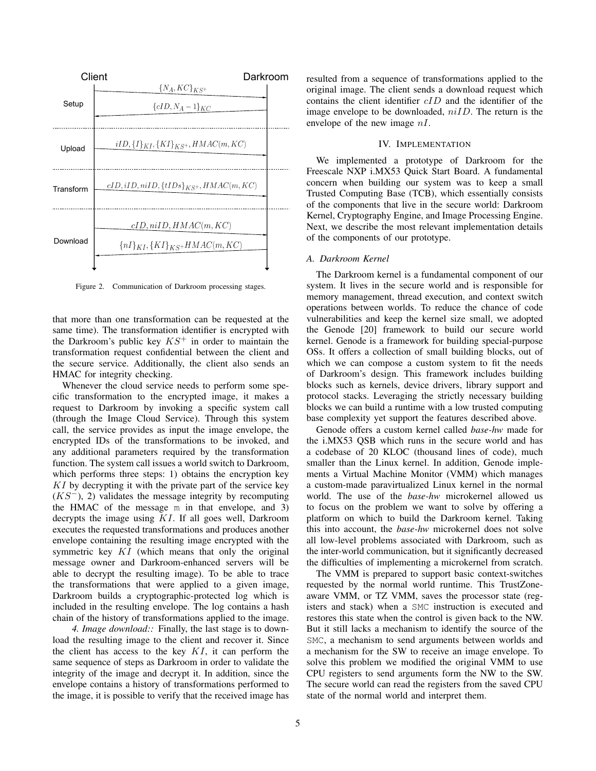

Figure 2. Communication of Darkroom processing stages.

that more than one transformation can be requested at the same time). The transformation identifier is encrypted with the Darkroom's public key  $KS^+$  in order to maintain the transformation request confidential between the client and the secure service. Additionally, the client also sends an HMAC for integrity checking.

Whenever the cloud service needs to perform some specific transformation to the encrypted image, it makes a request to Darkroom by invoking a specific system call (through the Image Cloud Service). Through this system call, the service provides as input the image envelope, the encrypted IDs of the transformations to be invoked, and any additional parameters required by the transformation function. The system call issues a world switch to Darkroom, which performs three steps: 1) obtains the encryption key KI by decrypting it with the private part of the service key  $(KS^-)$ , 2) validates the message integrity by recomputing the HMAC of the message m in that envelope, and 3) decrypts the image using KI. If all goes well, Darkroom executes the requested transformations and produces another envelope containing the resulting image encrypted with the symmetric key  $KI$  (which means that only the original message owner and Darkroom-enhanced servers will be able to decrypt the resulting image). To be able to trace the transformations that were applied to a given image, Darkroom builds a cryptographic-protected log which is included in the resulting envelope. The log contains a hash chain of the history of transformations applied to the image.

*4. Image download::* Finally, the last stage is to download the resulting image to the client and recover it. Since the client has access to the key  $KI$ , it can perform the same sequence of steps as Darkroom in order to validate the integrity of the image and decrypt it. In addition, since the envelope contains a history of transformations performed to the image, it is possible to verify that the received image has resulted from a sequence of transformations applied to the original image. The client sends a download request which contains the client identifier  $cID$  and the identifier of the image envelope to be downloaded,  $niID$ . The return is the envelope of the new image nI.

## IV. IMPLEMENTATION

We implemented a prototype of Darkroom for the Freescale NXP i.MX53 Quick Start Board. A fundamental concern when building our system was to keep a small Trusted Computing Base (TCB), which essentially consists of the components that live in the secure world: Darkroom Kernel, Cryptography Engine, and Image Processing Engine. Next, we describe the most relevant implementation details of the components of our prototype.

#### *A. Darkroom Kernel*

The Darkroom kernel is a fundamental component of our system. It lives in the secure world and is responsible for memory management, thread execution, and context switch operations between worlds. To reduce the chance of code vulnerabilities and keep the kernel size small, we adopted the Genode [20] framework to build our secure world kernel. Genode is a framework for building special-purpose OSs. It offers a collection of small building blocks, out of which we can compose a custom system to fit the needs of Darkroom's design. This framework includes building blocks such as kernels, device drivers, library support and protocol stacks. Leveraging the strictly necessary building blocks we can build a runtime with a low trusted computing base complexity yet support the features described above.

Genode offers a custom kernel called *base-hw* made for the i.MX53 QSB which runs in the secure world and has a codebase of 20 KLOC (thousand lines of code), much smaller than the Linux kernel. In addition, Genode implements a Virtual Machine Monitor (VMM) which manages a custom-made paravirtualized Linux kernel in the normal world. The use of the *base-hw* microkernel allowed us to focus on the problem we want to solve by offering a platform on which to build the Darkroom kernel. Taking this into account, the *base-hw* microkernel does not solve all low-level problems associated with Darkroom, such as the inter-world communication, but it significantly decreased the difficulties of implementing a microkernel from scratch.

The VMM is prepared to support basic context-switches requested by the normal world runtime. This TrustZoneaware VMM, or TZ VMM, saves the processor state (registers and stack) when a SMC instruction is executed and restores this state when the control is given back to the NW. But it still lacks a mechanism to identify the source of the SMC, a mechanism to send arguments between worlds and a mechanism for the SW to receive an image envelope. To solve this problem we modified the original VMM to use CPU registers to send arguments form the NW to the SW. The secure world can read the registers from the saved CPU state of the normal world and interpret them.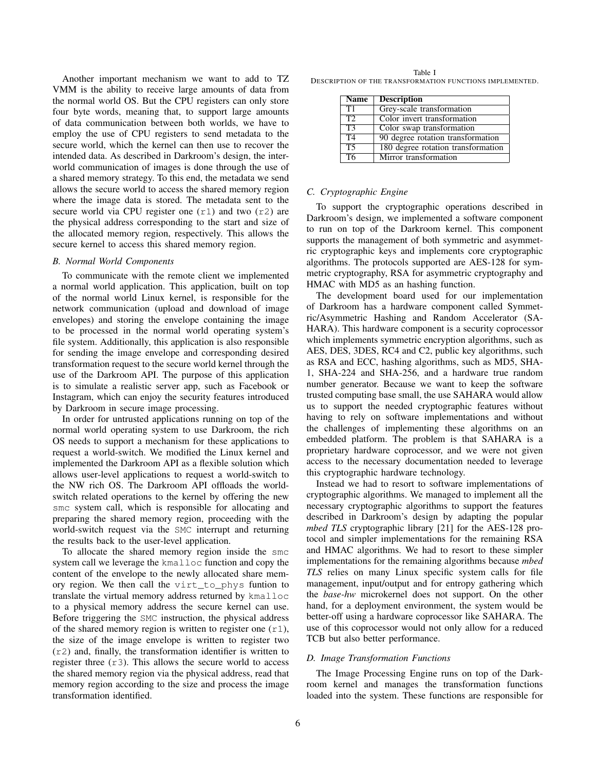Another important mechanism we want to add to TZ VMM is the ability to receive large amounts of data from the normal world OS. But the CPU registers can only store four byte words, meaning that, to support large amounts of data communication between both worlds, we have to employ the use of CPU registers to send metadata to the secure world, which the kernel can then use to recover the intended data. As described in Darkroom's design, the interworld communication of images is done through the use of a shared memory strategy. To this end, the metadata we send allows the secure world to access the shared memory region where the image data is stored. The metadata sent to the secure world via CPU register one  $(r1)$  and two  $(r2)$  are the physical address corresponding to the start and size of the allocated memory region, respectively. This allows the secure kernel to access this shared memory region.

#### *B. Normal World Components*

To communicate with the remote client we implemented a normal world application. This application, built on top of the normal world Linux kernel, is responsible for the network communication (upload and download of image envelopes) and storing the envelope containing the image to be processed in the normal world operating system's file system. Additionally, this application is also responsible for sending the image envelope and corresponding desired transformation request to the secure world kernel through the use of the Darkroom API. The purpose of this application is to simulate a realistic server app, such as Facebook or Instagram, which can enjoy the security features introduced by Darkroom in secure image processing.

In order for untrusted applications running on top of the normal world operating system to use Darkroom, the rich OS needs to support a mechanism for these applications to request a world-switch. We modified the Linux kernel and implemented the Darkroom API as a flexible solution which allows user-level applications to request a world-switch to the NW rich OS. The Darkroom API offloads the worldswitch related operations to the kernel by offering the new smc system call, which is responsible for allocating and preparing the shared memory region, proceeding with the world-switch request via the SMC interrupt and returning the results back to the user-level application.

To allocate the shared memory region inside the smc system call we leverage the kmalloc function and copy the content of the envelope to the newly allocated share memory region. We then call the virt\_to\_phys funtion to translate the virtual memory address returned by kmalloc to a physical memory address the secure kernel can use. Before triggering the SMC instruction, the physical address of the shared memory region is written to register one  $(r1)$ , the size of the image envelope is written to register two (r2) and, finally, the transformation identifier is written to register three  $(r3)$ . This allows the secure world to access the shared memory region via the physical address, read that memory region according to the size and process the image transformation identified.

Table I DESCRIPTION OF THE TRANSFORMATION FUNCTIONS IMPLEMENTED.

| <b>Name</b>     | <b>Description</b>                 |
|-----------------|------------------------------------|
| T1              | Grey-scale transformation          |
| T2              | Color invert transformation        |
| $\overline{T3}$ | Color swap transformation          |
| T <sub>4</sub>  | 90 degree rotation transformation  |
| T <sub>5</sub>  | 180 degree rotation transformation |
| $\overline{76}$ | Mirror transformation              |

#### *C. Cryptographic Engine*

To support the cryptographic operations described in Darkroom's design, we implemented a software component to run on top of the Darkroom kernel. This component supports the management of both symmetric and asymmetric cryptographic keys and implements core cryptographic algorithms. The protocols supported are AES-128 for symmetric cryptography, RSA for asymmetric cryptography and HMAC with MD5 as an hashing function.

The development board used for our implementation of Darkroom has a hardware component called Symmetric/Asymmetric Hashing and Random Accelerator (SA-HARA). This hardware component is a security coprocessor which implements symmetric encryption algorithms, such as AES, DES, 3DES, RC4 and C2, public key algorithms, such as RSA and ECC, hashing algorithms, such as MD5, SHA-1, SHA-224 and SHA-256, and a hardware true random number generator. Because we want to keep the software trusted computing base small, the use SAHARA would allow us to support the needed cryptographic features without having to rely on software implementations and without the challenges of implementing these algorithms on an embedded platform. The problem is that SAHARA is a proprietary hardware coprocessor, and we were not given access to the necessary documentation needed to leverage this cryptographic hardware technology.

Instead we had to resort to software implementations of cryptographic algorithms. We managed to implement all the necessary cryptographic algorithms to support the features described in Darkroom's design by adapting the popular *mbed TLS* cryptographic library [21] for the AES-128 protocol and simpler implementations for the remaining RSA and HMAC algorithms. We had to resort to these simpler implementations for the remaining algorithms because *mbed TLS* relies on many Linux specific system calls for file management, input/output and for entropy gathering which the *base-hw* microkernel does not support. On the other hand, for a deployment environment, the system would be better-off using a hardware coprocessor like SAHARA. The use of this coprocessor would not only allow for a reduced TCB but also better performance.

#### *D. Image Transformation Functions*

The Image Processing Engine runs on top of the Darkroom kernel and manages the transformation functions loaded into the system. These functions are responsible for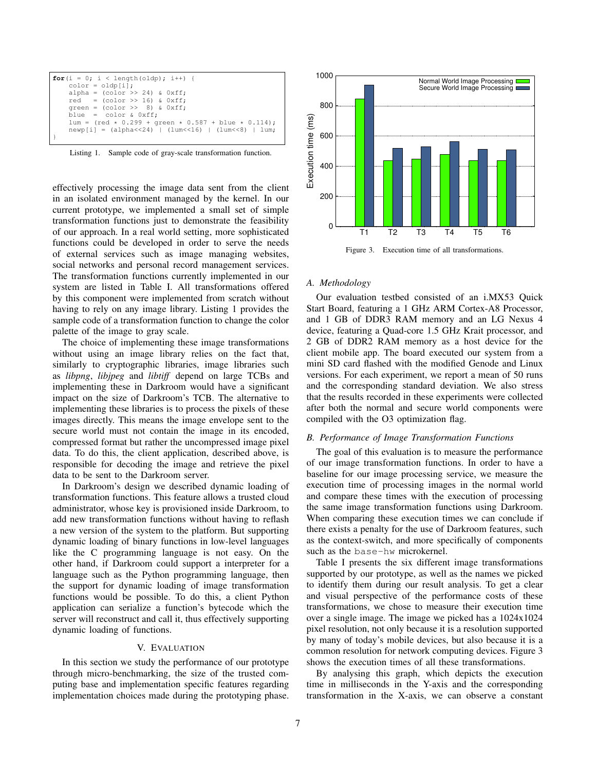| for $(i = 0; i < \text{length}(\text{oldp}); i++)$<br>$color = oldpi[i];$ |
|---------------------------------------------------------------------------|
| alpha = $\text{(color} >\; 24)$ & $0 \text{xff}$ ;                        |
| $red = (color \gg 16) \& 0xff;$                                           |
| qreen = $\text{(color} >\text{)} 8)$ & $0 \text{xff}$ ;                   |
| blue = $color & 0xff;$                                                    |
| $lum = (red * 0.299 + green * 0.587 + blue * 0.114)$ ;                    |
| $newp[i] = (alpha<<24)   (lum<<16)   (lum<<8)   lum;$                     |
|                                                                           |

Listing 1. Sample code of gray-scale transformation function.

effectively processing the image data sent from the client in an isolated environment managed by the kernel. In our current prototype, we implemented a small set of simple transformation functions just to demonstrate the feasibility of our approach. In a real world setting, more sophisticated functions could be developed in order to serve the needs of external services such as image managing websites, social networks and personal record management services. The transformation functions currently implemented in our system are listed in Table I. All transformations offered by this component were implemented from scratch without having to rely on any image library. Listing 1 provides the sample code of a transformation function to change the color palette of the image to gray scale.

The choice of implementing these image transformations without using an image library relies on the fact that, similarly to cryptographic libraries, image libraries such as *libpng*, *libjpeg* and *libtiff* depend on large TCBs and implementing these in Darkroom would have a significant impact on the size of Darkroom's TCB. The alternative to implementing these libraries is to process the pixels of these images directly. This means the image envelope sent to the secure world must not contain the image in its encoded, compressed format but rather the uncompressed image pixel data. To do this, the client application, described above, is responsible for decoding the image and retrieve the pixel data to be sent to the Darkroom server.

In Darkroom's design we described dynamic loading of transformation functions. This feature allows a trusted cloud administrator, whose key is provisioned inside Darkroom, to add new transformation functions without having to reflash a new version of the system to the platform. But supporting dynamic loading of binary functions in low-level languages like the C programming language is not easy. On the other hand, if Darkroom could support a interpreter for a language such as the Python programming language, then the support for dynamic loading of image transformation functions would be possible. To do this, a client Python application can serialize a function's bytecode which the server will reconstruct and call it, thus effectively supporting dynamic loading of functions.

# V. EVALUATION

In this section we study the performance of our prototype through micro-benchmarking, the size of the trusted computing base and implementation specific features regarding implementation choices made during the prototyping phase.



Figure 3. Execution time of all transformations.

#### *A. Methodology*

Our evaluation testbed consisted of an i.MX53 Quick Start Board, featuring a 1 GHz ARM Cortex-A8 Processor, and 1 GB of DDR3 RAM memory and an LG Nexus 4 device, featuring a Quad-core 1.5 GHz Krait processor, and 2 GB of DDR2 RAM memory as a host device for the client mobile app. The board executed our system from a mini SD card flashed with the modified Genode and Linux versions. For each experiment, we report a mean of 50 runs and the corresponding standard deviation. We also stress that the results recorded in these experiments were collected after both the normal and secure world components were compiled with the O3 optimization flag.

# *B. Performance of Image Transformation Functions*

The goal of this evaluation is to measure the performance of our image transformation functions. In order to have a baseline for our image processing service, we measure the execution time of processing images in the normal world and compare these times with the execution of processing the same image transformation functions using Darkroom. When comparing these execution times we can conclude if there exists a penalty for the use of Darkroom features, such as the context-switch, and more specifically of components such as the base-hw microkernel.

Table I presents the six different image transformations supported by our prototype, as well as the names we picked to identify them during our result analysis. To get a clear and visual perspective of the performance costs of these transformations, we chose to measure their execution time over a single image. The image we picked has a 1024x1024 pixel resolution, not only because it is a resolution supported by many of today's mobile devices, but also because it is a common resolution for network computing devices. Figure 3 shows the execution times of all these transformations.

By analysing this graph, which depicts the execution time in milliseconds in the Y-axis and the corresponding transformation in the X-axis, we can observe a constant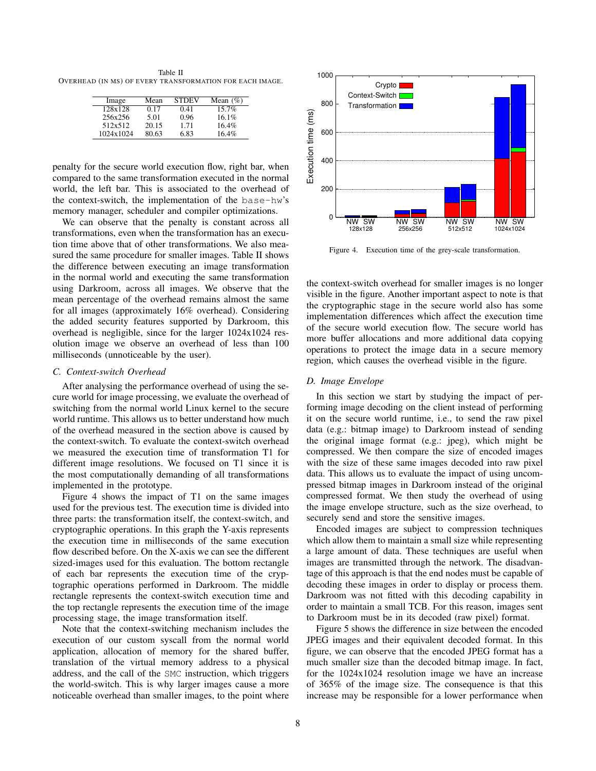Table II OVERHEAD (IN MS) OF EVERY TRANSFORMATION FOR EACH IMAGE.

| Image     | Mean  | <b>STDEV</b> | Mean $(\% )$ |
|-----------|-------|--------------|--------------|
| 128x128   | 0.17  | 0.41         | $15.7\%$     |
| 256x256   | 5.01  | 0.96         | 16.1%        |
| 512x512   | 20.15 | 1.71         | 16.4%        |
| 1024x1024 | 80.63 | 6.83         | 16.4%        |

penalty for the secure world execution flow, right bar, when compared to the same transformation executed in the normal world, the left bar. This is associated to the overhead of the context-switch, the implementation of the base-hw's memory manager, scheduler and compiler optimizations.

We can observe that the penalty is constant across all transformations, even when the transformation has an execution time above that of other transformations. We also measured the same procedure for smaller images. Table II shows the difference between executing an image transformation in the normal world and executing the same transformation using Darkroom, across all images. We observe that the mean percentage of the overhead remains almost the same for all images (approximately 16% overhead). Considering the added security features supported by Darkroom, this overhead is negligible, since for the larger 1024x1024 resolution image we observe an overhead of less than 100 milliseconds (unnoticeable by the user).

#### *C. Context-switch Overhead*

After analysing the performance overhead of using the secure world for image processing, we evaluate the overhead of switching from the normal world Linux kernel to the secure world runtime. This allows us to better understand how much of the overhead measured in the section above is caused by the context-switch. To evaluate the context-switch overhead we measured the execution time of transformation T1 for different image resolutions. We focused on T1 since it is the most computationally demanding of all transformations implemented in the prototype.

Figure 4 shows the impact of T1 on the same images used for the previous test. The execution time is divided into three parts: the transformation itself, the context-switch, and cryptographic operations. In this graph the Y-axis represents the execution time in milliseconds of the same execution flow described before. On the X-axis we can see the different sized-images used for this evaluation. The bottom rectangle of each bar represents the execution time of the cryptographic operations performed in Darkroom. The middle rectangle represents the context-switch execution time and the top rectangle represents the execution time of the image processing stage, the image transformation itself.

Note that the context-switching mechanism includes the execution of our custom syscall from the normal world application, allocation of memory for the shared buffer, translation of the virtual memory address to a physical address, and the call of the SMC instruction, which triggers the world-switch. This is why larger images cause a more noticeable overhead than smaller images, to the point where



Figure 4. Execution time of the grey-scale transformation.

the context-switch overhead for smaller images is no longer visible in the figure. Another important aspect to note is that the cryptographic stage in the secure world also has some implementation differences which affect the execution time of the secure world execution flow. The secure world has more buffer allocations and more additional data copying operations to protect the image data in a secure memory region, which causes the overhead visible in the figure.

# *D. Image Envelope*

In this section we start by studying the impact of performing image decoding on the client instead of performing it on the secure world runtime, i.e., to send the raw pixel data (e.g.: bitmap image) to Darkroom instead of sending the original image format (e.g.: jpeg), which might be compressed. We then compare the size of encoded images with the size of these same images decoded into raw pixel data. This allows us to evaluate the impact of using uncompressed bitmap images in Darkroom instead of the original compressed format. We then study the overhead of using the image envelope structure, such as the size overhead, to securely send and store the sensitive images.

Encoded images are subject to compression techniques which allow them to maintain a small size while representing a large amount of data. These techniques are useful when images are transmitted through the network. The disadvantage of this approach is that the end nodes must be capable of decoding these images in order to display or process them. Darkroom was not fitted with this decoding capability in order to maintain a small TCB. For this reason, images sent to Darkroom must be in its decoded (raw pixel) format.

Figure 5 shows the difference in size between the encoded JPEG images and their equivalent decoded format. In this figure, we can observe that the encoded JPEG format has a much smaller size than the decoded bitmap image. In fact, for the 1024x1024 resolution image we have an increase of 365% of the image size. The consequence is that this increase may be responsible for a lower performance when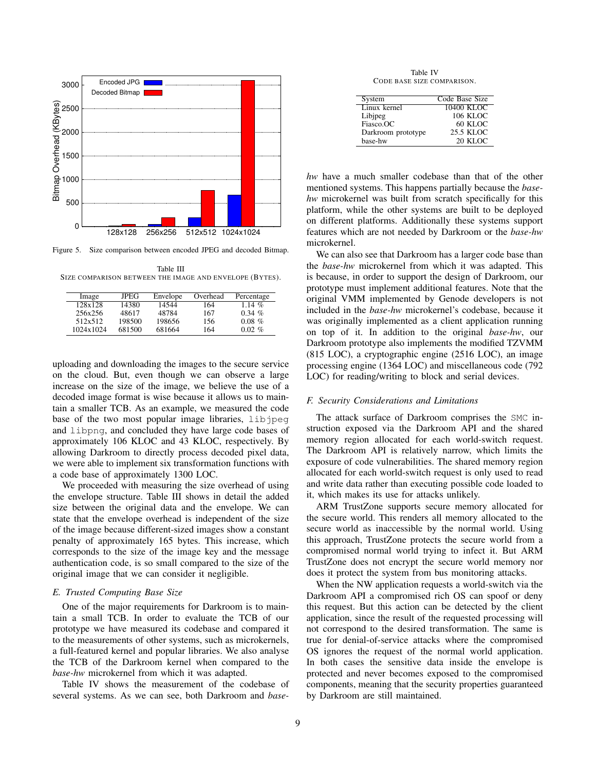

Figure 5. Size comparison between encoded JPEG and decoded Bitmap.

Table III SIZE COMPARISON BETWEEN THE IMAGE AND ENVELOPE (BYTES).

| Image     | JPEG   | Envelope | Overhead | Percentage |
|-----------|--------|----------|----------|------------|
| 128x128   | 14380  | 14544    | 164      | 1.14 $%$   |
| 256x256   | 48617  | 48784    | 167      | $0.34\%$   |
| 512x512   | 198500 | 198656   | 156      | $0.08\%$   |
| 1024x1024 | 681500 | 681664   | 164      | $0.02\%$   |

uploading and downloading the images to the secure service on the cloud. But, even though we can observe a large increase on the size of the image, we believe the use of a decoded image format is wise because it allows us to maintain a smaller TCB. As an example, we measured the code base of the two most popular image libraries, libjpeg and libpng, and concluded they have large code bases of approximately 106 KLOC and 43 KLOC, respectively. By allowing Darkroom to directly process decoded pixel data, we were able to implement six transformation functions with a code base of approximately 1300 LOC.

We proceeded with measuring the size overhead of using the envelope structure. Table III shows in detail the added size between the original data and the envelope. We can state that the envelope overhead is independent of the size of the image because different-sized images show a constant penalty of approximately 165 bytes. This increase, which corresponds to the size of the image key and the message authentication code, is so small compared to the size of the original image that we can consider it negligible.

# *E. Trusted Computing Base Size*

One of the major requirements for Darkroom is to maintain a small TCB. In order to evaluate the TCB of our prototype we have measured its codebase and compared it to the measurements of other systems, such as microkernels, a full-featured kernel and popular libraries. We also analyse the TCB of the Darkroom kernel when compared to the *base-hw* microkernel from which it was adapted.

Table IV shows the measurement of the codebase of several systems. As we can see, both Darkroom and *base-*

Table IV CODE BASE SIZE COMPARISON.

| System             | Code Base Size |
|--------------------|----------------|
| Linux kernel       | $10400$ KLOC   |
| Libjpeg            | 106 KLOC       |
| Fiasco.OC          | 60 KLOC        |
| Darkroom prototype | 25.5 KLOC      |
| base-hw            | 20 KLOC        |

*hw* have a much smaller codebase than that of the other mentioned systems. This happens partially because the *basehw* microkernel was built from scratch specifically for this platform, while the other systems are built to be deployed on different platforms. Additionally these systems support features which are not needed by Darkroom or the *base-hw* microkernel.

We can also see that Darkroom has a larger code base than the *base-hw* microkernel from which it was adapted. This is because, in order to support the design of Darkroom, our prototype must implement additional features. Note that the original VMM implemented by Genode developers is not included in the *base-hw* microkernel's codebase, because it was originally implemented as a client application running on top of it. In addition to the original *base-hw*, our Darkroom prototype also implements the modified TZVMM (815 LOC), a cryptographic engine (2516 LOC), an image processing engine (1364 LOC) and miscellaneous code (792 LOC) for reading/writing to block and serial devices.

## *F. Security Considerations and Limitations*

The attack surface of Darkroom comprises the SMC instruction exposed via the Darkroom API and the shared memory region allocated for each world-switch request. The Darkroom API is relatively narrow, which limits the exposure of code vulnerabilities. The shared memory region allocated for each world-switch request is only used to read and write data rather than executing possible code loaded to it, which makes its use for attacks unlikely.

ARM TrustZone supports secure memory allocated for the secure world. This renders all memory allocated to the secure world as inaccessible by the normal world. Using this approach, TrustZone protects the secure world from a compromised normal world trying to infect it. But ARM TrustZone does not encrypt the secure world memory nor does it protect the system from bus monitoring attacks.

When the NW application requests a world-switch via the Darkroom API a compromised rich OS can spoof or deny this request. But this action can be detected by the client application, since the result of the requested processing will not correspond to the desired transformation. The same is true for denial-of-service attacks where the compromised OS ignores the request of the normal world application. In both cases the sensitive data inside the envelope is protected and never becomes exposed to the compromised components, meaning that the security properties guaranteed by Darkroom are still maintained.